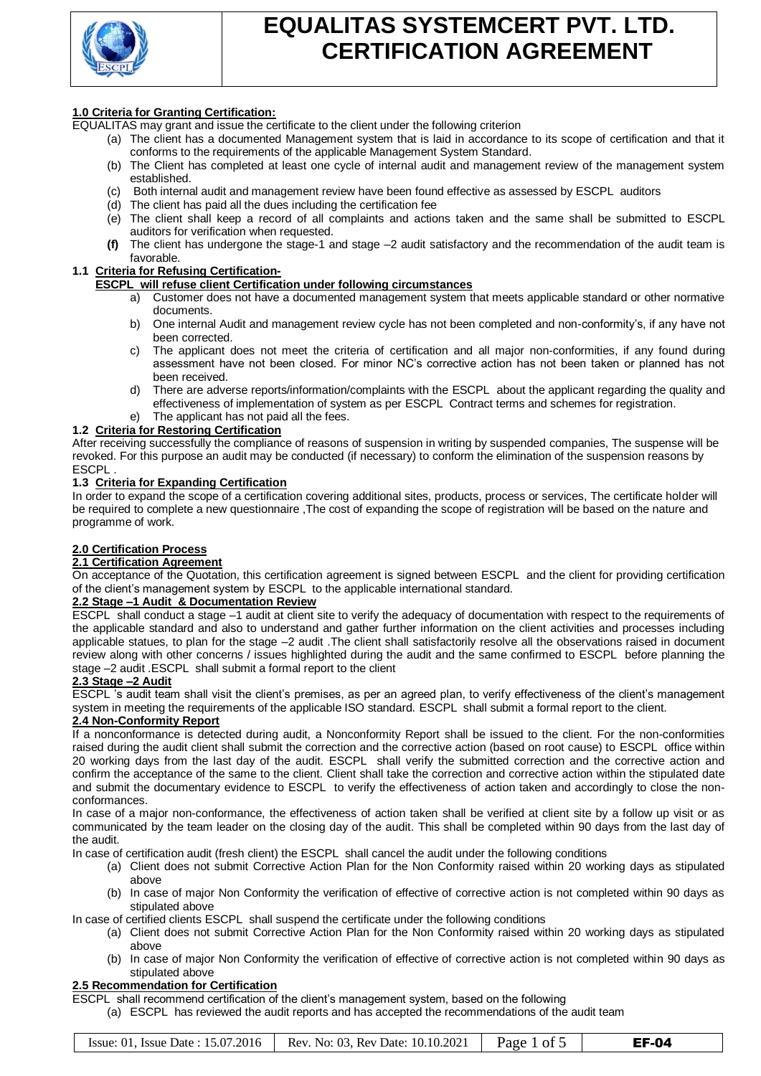

## **1.0 Criteria for Granting Certification:**

- EQUALITAS may grant and issue the certificate to the client under the following criterion
	- (a) The client has a documented Management system that is laid in accordance to its scope of certification and that it conforms to the requirements of the applicable Management System Standard.
	- (b) The Client has completed at least one cycle of internal audit and management review of the management system established.
	- (c) Both internal audit and management review have been found effective as assessed by ESCPL auditors
	- (d) The client has paid all the dues including the certification fee
	- (e) The client shall keep a record of all complaints and actions taken and the same shall be submitted to ESCPL auditors for verification when requested.
	- **(f)** The client has undergone the stage-1 and stage –2 audit satisfactory and the recommendation of the audit team is favorable.

## **1.1 Criteria for Refusing Certification-**

### **ESCPL will refuse client Certification under following circumstances**

- a) Customer does not have a documented management system that meets applicable standard or other normative documents.
- b) One internal Audit and management review cycle has not been completed and non-conformity's, if any have not been corrected.
- c) The applicant does not meet the criteria of certification and all major non-conformities, if any found during assessment have not been closed. For minor NC's corrective action has not been taken or planned has not been received.
- d) There are adverse reports/information/complaints with the ESCPL about the applicant regarding the quality and effectiveness of implementation of system as per ESCPL Contract terms and schemes for registration.
- e) The applicant has not paid all the fees.

### **1.2 Criteria for Restoring Certification**

After receiving successfully the compliance of reasons of suspension in writing by suspended companies, The suspense will be revoked. For this purpose an audit may be conducted (if necessary) to conform the elimination of the suspension reasons by ESCPL .

### **1.3 Criteria for Expanding Certification**

In order to expand the scope of a certification covering additional sites, products, process or services, The certificate holder will be required to complete a new questionnaire ,The cost of expanding the scope of registration will be based on the nature and programme of work.

### **2.0 Certification Process**

#### **2.1 Certification Agreement**

On acceptance of the Quotation, this certification agreement is signed between ESCPL and the client for providing certification of the client's management system by ESCPL to the applicable international standard.

#### **2.2 Stage –1 Audit & Documentation Review**

ESCPL shall conduct a stage –1 audit at client site to verify the adequacy of documentation with respect to the requirements of the applicable standard and also to understand and gather further information on the client activities and processes including applicable statues, to plan for the stage –2 audit .The client shall satisfactorily resolve all the observations raised in document review along with other concerns / issues highlighted during the audit and the same confirmed to ESCPL before planning the stage –2 audit .ESCPL shall submit a formal report to the client

### **2.3 Stage –2 Audit**

ESCPL 's audit team shall visit the client's premises, as per an agreed plan, to verify effectiveness of the client's management system in meeting the requirements of the applicable ISO standard. ESCPL shall submit a formal report to the client.

### **2.4 Non-Conformity Report**

If a nonconformance is detected during audit, a Nonconformity Report shall be issued to the client. For the non-conformities raised during the audit client shall submit the correction and the corrective action (based on root cause) to ESCPL office within 20 working days from the last day of the audit. ESCPL shall verify the submitted correction and the corrective action and confirm the acceptance of the same to the client. Client shall take the correction and corrective action within the stipulated date and submit the documentary evidence to ESCPL to verify the effectiveness of action taken and accordingly to close the nonconformances.

In case of a major non-conformance, the effectiveness of action taken shall be verified at client site by a follow up visit or as communicated by the team leader on the closing day of the audit. This shall be completed within 90 days from the last day of the audit.

In case of certification audit (fresh client) the ESCPL shall cancel the audit under the following conditions

- (a) Client does not submit Corrective Action Plan for the Non Conformity raised within 20 working days as stipulated above
- (b) In case of major Non Conformity the verification of effective of corrective action is not completed within 90 days as stipulated above

In case of certified clients ESCPL shall suspend the certificate under the following conditions

- (a) Client does not submit Corrective Action Plan for the Non Conformity raised within 20 working days as stipulated above
- (b) In case of major Non Conformity the verification of effective of corrective action is not completed within 90 days as stipulated above

#### **2.5 Recommendation for Certification**

ESCPL shall recommend certification of the client's management system, based on the following

(a) ESCPL has reviewed the audit reports and has accepted the recommendations of the audit team

| Issue: 01. Issue Date: $15.07.2016$ | Rev. No: 03. Rev Date: 10.10.2021 | Page 1 of 5 | EF-04 |
|-------------------------------------|-----------------------------------|-------------|-------|
|-------------------------------------|-----------------------------------|-------------|-------|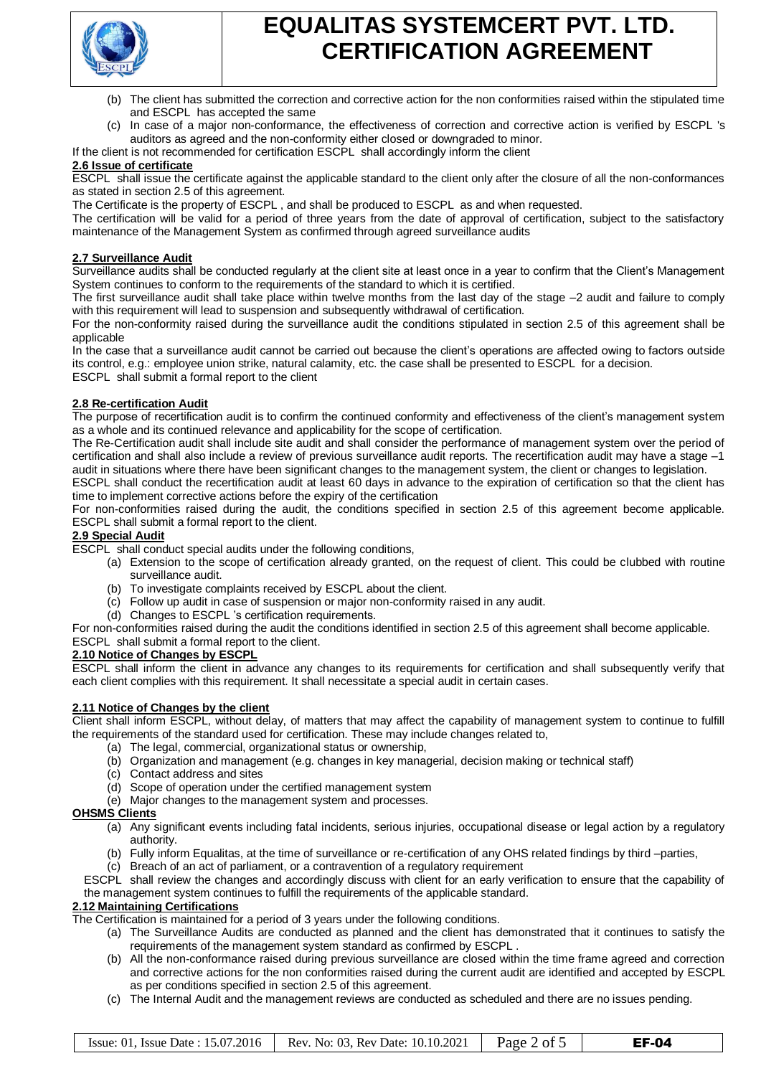

- (b) The client has submitted the correction and corrective action for the non conformities raised within the stipulated time and ESCPL has accepted the same
- (c) In case of a major non-conformance, the effectiveness of correction and corrective action is verified by ESCPL 's auditors as agreed and the non-conformity either closed or downgraded to minor.

If the client is not recommended for certification ESCPL shall accordingly inform the client

#### **2.6 Issue of certificate**

ESCPL shall issue the certificate against the applicable standard to the client only after the closure of all the non-conformances as stated in section 2.5 of this agreement.

The Certificate is the property of ESCPL , and shall be produced to ESCPL as and when requested.

The certification will be valid for a period of three years from the date of approval of certification, subject to the satisfactory maintenance of the Management System as confirmed through agreed surveillance audits

### **2.7 Surveillance Audit**

Surveillance audits shall be conducted regularly at the client site at least once in a year to confirm that the Client's Management System continues to conform to the requirements of the standard to which it is certified.

The first surveillance audit shall take place within twelve months from the last day of the stage –2 audit and failure to comply with this requirement will lead to suspension and subsequently withdrawal of certification.

For the non-conformity raised during the surveillance audit the conditions stipulated in section 2.5 of this agreement shall be applicable

In the case that a surveillance audit cannot be carried out because the client's operations are affected owing to factors outside its control, e.g.: employee union strike, natural calamity, etc. the case shall be presented to ESCPL for a decision. ESCPL shall submit a formal report to the client

### **2.8 Re-certification Audit**

The purpose of recertification audit is to confirm the continued conformity and effectiveness of the client's management system as a whole and its continued relevance and applicability for the scope of certification.

The Re-Certification audit shall include site audit and shall consider the performance of management system over the period of certification and shall also include a review of previous surveillance audit reports. The recertification audit may have a stage –1 audit in situations where there have been significant changes to the management system, the client or changes to legislation. ESCPL shall conduct the recertification audit at least 60 days in advance to the expiration of certification so that the client has

time to implement corrective actions before the expiry of the certification

For non-conformities raised during the audit, the conditions specified in section 2.5 of this agreement become applicable. ESCPL shall submit a formal report to the client.

### **2.9 Special Audit**

ESCPL shall conduct special audits under the following conditions,

- (a) Extension to the scope of certification already granted, on the request of client. This could be clubbed with routine surveillance audit.
- (b) To investigate complaints received by ESCPL about the client.
- (c) Follow up audit in case of suspension or major non-conformity raised in any audit.
- (d) Changes to ESCPL 's certification requirements.

For non-conformities raised during the audit the conditions identified in section 2.5 of this agreement shall become applicable. ESCPL shall submit a formal report to the client.

### **2.10 Notice of Changes by ESCPL**

ESCPL shall inform the client in advance any changes to its requirements for certification and shall subsequently verify that each client complies with this requirement. It shall necessitate a special audit in certain cases.

### **2.11 Notice of Changes by the client**

Client shall inform ESCPL, without delay, of matters that may affect the capability of management system to continue to fulfill the requirements of the standard used for certification. These may include changes related to,

- (a) The legal, commercial, organizational status or ownership,
- (b) Organization and management (e.g. changes in key managerial, decision making or technical staff)
- (c) Contact address and sites
- (d) Scope of operation under the certified management system
- (e) Major changes to the management system and processes.

### **OHSMS Clients**

- (a) Any significant events including fatal incidents, serious injuries, occupational disease or legal action by a regulatory authority.
- (b) Fully inform Equalitas, at the time of surveillance or re-certification of any OHS related findings by third –parties,
- (c) Breach of an act of parliament, or a contravention of a regulatory requirement

ESCPL shall review the changes and accordingly discuss with client for an early verification to ensure that the capability of the management system continues to fulfill the requirements of the applicable standard.

## **2.12 Maintaining Certifications**

The Certification is maintained for a period of 3 years under the following conditions.

- (a) The Surveillance Audits are conducted as planned and the client has demonstrated that it continues to satisfy the requirements of the management system standard as confirmed by ESCPL .
- (b) All the non-conformance raised during previous surveillance are closed within the time frame agreed and correction and corrective actions for the non conformities raised during the current audit are identified and accepted by ESCPL as per conditions specified in section 2.5 of this agreement.
- (c) The Internal Audit and the management reviews are conducted as scheduled and there are no issues pending.

| Issue: 01. Issue Date: 15.07.2016 | Rev. No: 03, Rev Date: 10.10.2021 | Page 2 of 5 | <b>EF-04</b> |
|-----------------------------------|-----------------------------------|-------------|--------------|
|                                   |                                   |             |              |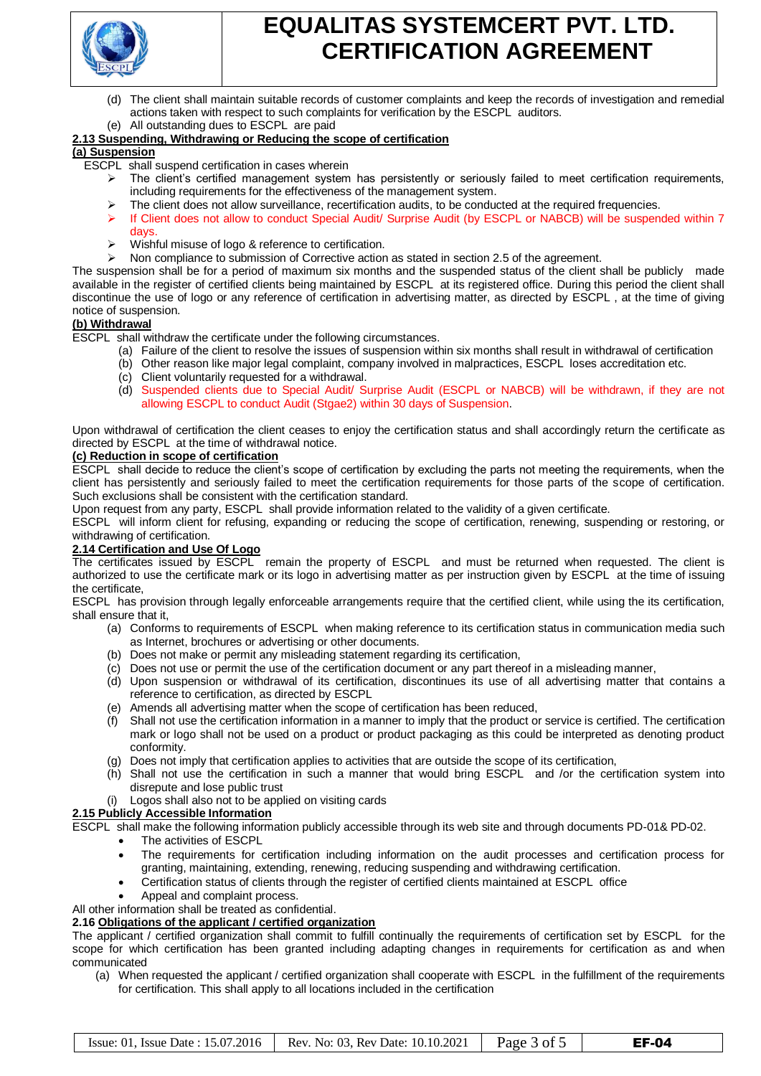

- (d) The client shall maintain suitable records of customer complaints and keep the records of investigation and remedial actions taken with respect to such complaints for verification by the ESCPL auditors.
- All outstanding dues to ESCPL are paid

## **2.13 Suspending, Withdrawing or Reducing the scope of certification**

#### **(a) Suspension**

- ESCPL shall suspend certification in cases wherein
	- The client's certified management system has persistently or seriously failed to meet certification requirements, including requirements for the effectiveness of the management system.
	- The client does not allow surveillance, recertification audits, to be conducted at the required frequencies.
	- If Client does not allow to conduct Special Audit/ Surprise Audit (by ESCPL or NABCB) will be suspended within 7 days.
	- $\triangleright$  Wishful misuse of logo & reference to certification.
	- Non compliance to submission of Corrective action as stated in section 2.5 of the agreement.

The suspension shall be for a period of maximum six months and the suspended status of the client shall be publicly made available in the register of certified clients being maintained by ESCPL at its registered office. During this period the client shall discontinue the use of logo or any reference of certification in advertising matter, as directed by ESCPL , at the time of giving notice of suspension.

### **(b) Withdrawal**

ESCPL shall withdraw the certificate under the following circumstances.

- (a) Failure of the client to resolve the issues of suspension within six months shall result in withdrawal of certification
- (b) Other reason like major legal complaint, company involved in malpractices, ESCPL loses accreditation etc.
- (c) Client voluntarily requested for a withdrawal.
- (d) Suspended clients due to Special Audit/ Surprise Audit (ESCPL or NABCB) will be withdrawn, if they are not allowing ESCPL to conduct Audit (Stgae2) within 30 days of Suspension.

Upon withdrawal of certification the client ceases to enjoy the certification status and shall accordingly return the certificate as directed by ESCPL at the time of withdrawal notice.

### **(c) Reduction in scope of certification**

ESCPL shall decide to reduce the client's scope of certification by excluding the parts not meeting the requirements, when the client has persistently and seriously failed to meet the certification requirements for those parts of the scope of certification. Such exclusions shall be consistent with the certification standard.

Upon request from any party, ESCPL shall provide information related to the validity of a given certificate.

ESCPL will inform client for refusing, expanding or reducing the scope of certification, renewing, suspending or restoring, or withdrawing of certification.

### **2.14 Certification and Use Of Logo**

The certificates issued by ESCPL remain the property of ESCPL and must be returned when requested. The client is authorized to use the certificate mark or its logo in advertising matter as per instruction given by ESCPL at the time of issuing the certificate,

ESCPL has provision through legally enforceable arrangements require that the certified client, while using the its certification, shall ensure that it,

- (a) Conforms to requirements of ESCPL when making reference to its certification status in communication media such as Internet, brochures or advertising or other documents.
- (b) Does not make or permit any misleading statement regarding its certification,
- (c) Does not use or permit the use of the certification document or any part thereof in a misleading manner,
- (d) Upon suspension or withdrawal of its certification, discontinues its use of all advertising matter that contains a reference to certification, as directed by ESCPL
- (e) Amends all advertising matter when the scope of certification has been reduced,
- (f) Shall not use the certification information in a manner to imply that the product or service is certified. The certification mark or logo shall not be used on a product or product packaging as this could be interpreted as denoting product conformity.
- (g) Does not imply that certification applies to activities that are outside the scope of its certification,
- (h) Shall not use the certification in such a manner that would bring ESCPL and /or the certification system into disrepute and lose public trust
- Logos shall also not to be applied on visiting cards

### **2.15 Publicly Accessible Information**

ESCPL shall make the following information publicly accessible through its web site and through documents PD-01& PD-02.

- The activities of ESCPL
	- The requirements for certification including information on the audit processes and certification process for granting, maintaining, extending, renewing, reducing suspending and withdrawing certification.
	- Certification status of clients through the register of certified clients maintained at ESCPL office
	- Appeal and complaint process.

All other information shall be treated as confidential.

### **2.16 Obligations of the applicant / certified organization**

The applicant / certified organization shall commit to fulfill continually the requirements of certification set by ESCPL for the scope for which certification has been granted including adapting changes in requirements for certification as and when communicated

(a) When requested the applicant / certified organization shall cooperate with ESCPL in the fulfillment of the requirements for certification. This shall apply to all locations included in the certification

|  | Issue: 01, Issue Date: $15.07.2016$ Rev. No: 03, Rev Date: $10.10.2021$ | Page 3 of 5 | <b>EF-04</b> |
|--|-------------------------------------------------------------------------|-------------|--------------|
|--|-------------------------------------------------------------------------|-------------|--------------|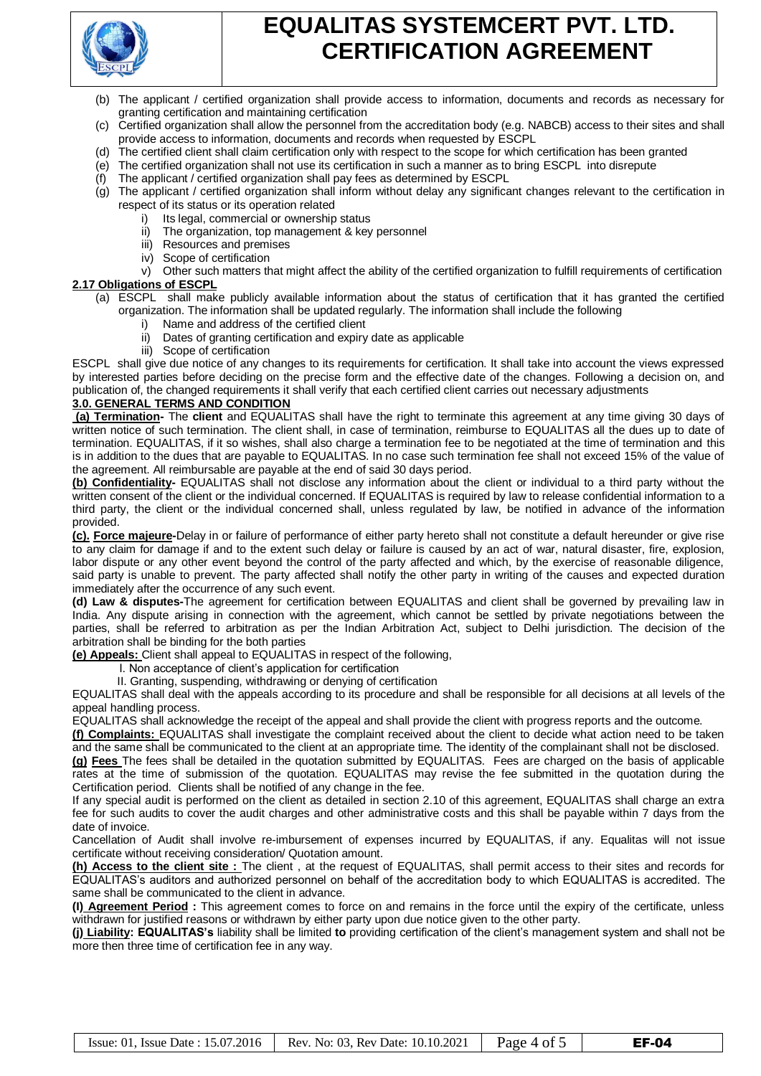

- (b) The applicant / certified organization shall provide access to information, documents and records as necessary for granting certification and maintaining certification
- (c) Certified organization shall allow the personnel from the accreditation body (e.g. NABCB) access to their sites and shall provide access to information, documents and records when requested by ESCPL
- (d) The certified client shall claim certification only with respect to the scope for which certification has been granted
- (e) The certified organization shall not use its certification in such a manner as to bring ESCPL into disrepute
- (f) The applicant / certified organization shall pay fees as determined by ESCPL
- (g) The applicant / certified organization shall inform without delay any significant changes relevant to the certification in respect of its status or its operation related
	- Its legal, commercial or ownership status
		- ii) The organization, top management & key personnel
		- iii) Resources and premises
		- iv) Scope of certification
- v) Other such matters that might affect the ability of the certified organization to fulfill requirements of certification **2.17 Obligations of ESCPL** 
	- (a) ESCPL shall make publicly available information about the status of certification that it has granted the certified organization. The information shall be updated regularly. The information shall include the following
		- i) Name and address of the certified client
		- ii) Dates of granting certification and expiry date as applicable
		- iii) Scope of certification

ESCPL shall give due notice of any changes to its requirements for certification. It shall take into account the views expressed by interested parties before deciding on the precise form and the effective date of the changes. Following a decision on, and publication of, the changed requirements it shall verify that each certified client carries out necessary adjustments

## **3.0. GENERAL TERMS AND CONDITION**

**(a) Termination-** The **client** and EQUALITAS shall have the right to terminate this agreement at any time giving 30 days of written notice of such termination. The client shall, in case of termination, reimburse to EQUALITAS all the dues up to date of termination. EQUALITAS, if it so wishes, shall also charge a termination fee to be negotiated at the time of termination and this is in addition to the dues that are payable to EQUALITAS. In no case such termination fee shall not exceed 15% of the value of the agreement. All reimbursable are payable at the end of said 30 days period.

**(b) Confidentiality-** EQUALITAS shall not disclose any information about the client or individual to a third party without the written consent of the client or the individual concerned. If EQUALITAS is required by law to release confidential information to a third party, the client or the individual concerned shall, unless regulated by law, be notified in advance of the information provided.

**(c). Force majeure-**Delay in or failure of performance of either party hereto shall not constitute a default hereunder or give rise to any claim for damage if and to the extent such delay or failure is caused by an act of war, natural disaster, fire, explosion, labor dispute or any other event beyond the control of the party affected and which, by the exercise of reasonable diligence, said party is unable to prevent. The party affected shall notify the other party in writing of the causes and expected duration immediately after the occurrence of any such event.

**(d) Law & disputes-**The agreement for certification between EQUALITAS and client shall be governed by prevailing law in India. Any dispute arising in connection with the agreement, which cannot be settled by private negotiations between the parties, shall be referred to arbitration as per the Indian Arbitration Act, subject to Delhi jurisdiction. The decision of the arbitration shall be binding for the both parties

**(e) Appeals:** Client shall appeal to EQUALITAS in respect of the following,

- I. Non acceptance of client's application for certification
- II. Granting, suspending, withdrawing or denying of certification

EQUALITAS shall deal with the appeals according to its procedure and shall be responsible for all decisions at all levels of the appeal handling process.

EQUALITAS shall acknowledge the receipt of the appeal and shall provide the client with progress reports and the outcome.

**(f) Complaints:** EQUALITAS shall investigate the complaint received about the client to decide what action need to be taken and the same shall be communicated to the client at an appropriate time. The identity of the complainant shall not be disclosed.

**(g) Fees** The fees shall be detailed in the quotation submitted by EQUALITAS. Fees are charged on the basis of applicable rates at the time of submission of the quotation. EQUALITAS may revise the fee submitted in the quotation during the Certification period. Clients shall be notified of any change in the fee.

If any special audit is performed on the client as detailed in section 2.10 of this agreement, EQUALITAS shall charge an extra fee for such audits to cover the audit charges and other administrative costs and this shall be payable within 7 days from the date of invoice.

Cancellation of Audit shall involve re-imbursement of expenses incurred by EQUALITAS, if any. Equalitas will not issue certificate without receiving consideration/ Quotation amount.

**(h) Access to the client site :** The client , at the request of EQUALITAS, shall permit access to their sites and records for EQUALITAS's auditors and authorized personnel on behalf of the accreditation body to which EQUALITAS is accredited. The same shall be communicated to the client in advance.

**(I) Agreement Period :** This agreement comes to force on and remains in the force until the expiry of the certificate, unless withdrawn for justified reasons or withdrawn by either party upon due notice given to the other party.

**(j) Liability: EQUALITAS's** liability shall be limited **to** providing certification of the client's management system and shall not be more then three time of certification fee in any way.